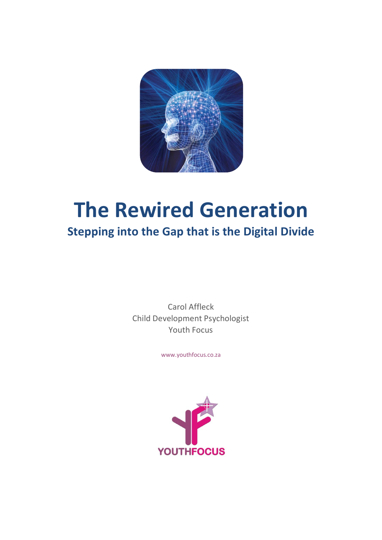

# **The Rewired Generation Stepping into the Gap that is the Digital Divide**

Carol Affleck Child Development Psychologist Youth Focus

www.youthfocus.co.za

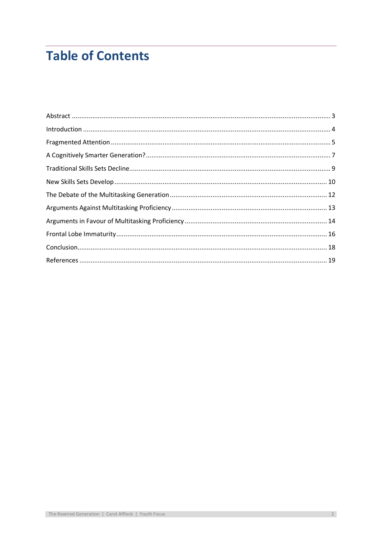# **Table of Contents**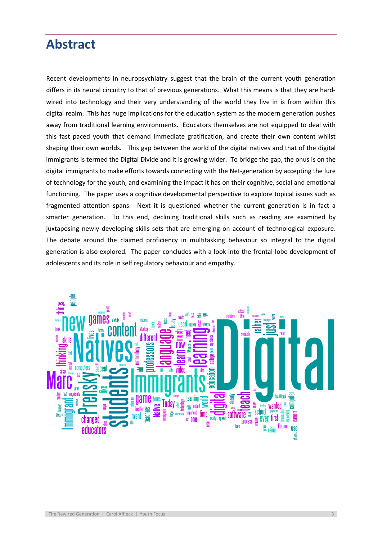## <span id="page-2-0"></span>**Abstract**

Recent developments in neuropsychiatry suggest that the brain of the current youth generation differs in its neural circuitry to that of previous generations. What this means is that they are hardwired into technology and their very understanding of the world they live in is from within this digital realm. This has huge implications for the education system as the modern generation pushes away from traditional learning environments. Educators themselves are not equipped to deal with this fast paced youth that demand immediate gratification, and create their own content whilst shaping their own worlds. This gap between the world of the digital natives and that of the digital immigrants is termed the Digital Divide and it is growing wider. To bridge the gap, the onus is on the digital immigrants to make efforts towards connecting with the Net-generation by accepting the lure of technology for the youth, and examining the impact it has on their cognitive, social and emotional functioning. The paper uses a cognitive developmental perspective to explore topical issues such as fragmented attention spans. Next it is questioned whether the current generation is in fact a smarter generation. To this end, declining traditional skills such as reading are examined by juxtaposing newly developing skills sets that are emerging on account of technological exposure. The debate around the claimed proficiency in multitasking behaviour so integral to the digital generation is also explored. The paper concludes with a look into the frontal lobe development of adolescents and its role in self regulatory behaviour and empathy.

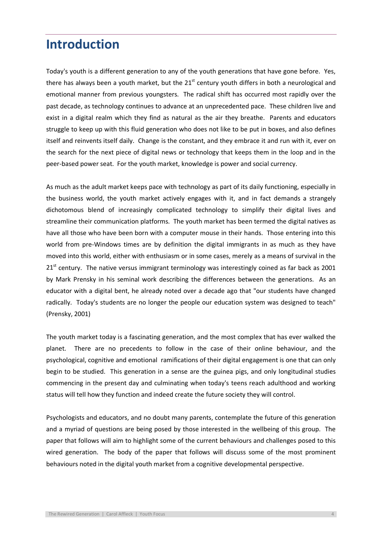## <span id="page-3-0"></span>**Introduction**

Today's youth is a different generation to any of the youth generations that have gone before. Yes, there has always been a youth market, but the  $21<sup>st</sup>$  century youth differs in both a neurological and emotional manner from previous youngsters. The radical shift has occurred most rapidly over the past decade, as technology continues to advance at an unprecedented pace. These children live and exist in a digital realm which they find as natural as the air they breathe. Parents and educators struggle to keep up with this fluid generation who does not like to be put in boxes, and also defines itself and reinvents itself daily. Change is the constant, and they embrace it and run with it, ever on the search for the next piece of digital news or technology that keeps them in the loop and in the peer-based power seat. For the youth market, knowledge is power and social currency.

As much as the adult market keeps pace with technology as part of its daily functioning, especially in the business world, the youth market actively engages with it, and in fact demands a strangely dichotomous blend of increasingly complicated technology to simplify their digital lives and streamline their communication platforms. The youth market has been termed the digital natives as have all those who have been born with a computer mouse in their hands. Those entering into this world from pre-Windows times are by definition the digital immigrants in as much as they have moved into this world, either with enthusiasm or in some cases, merely as a means of survival in the  $21<sup>st</sup>$  century. The native versus immigrant terminology was interestingly coined as far back as 2001 by Mark Prensky in his seminal work describing the differences between the generations. As an educator with a digital bent, he already noted over a decade ago that "our students have changed radically. Today's students are no longer the people our education system was designed to teach" (Prensky, 2001)

The youth market today is a fascinating generation, and the most complex that has ever walked the planet. There are no precedents to follow in the case of their online behaviour, and the psychological, cognitive and emotional ramifications of their digital engagement is one that can only begin to be studied. This generation in a sense are the guinea pigs, and only longitudinal studies commencing in the present day and culminating when today's teens reach adulthood and working status will tell how they function and indeed create the future society they will control.

Psychologists and educators, and no doubt many parents, contemplate the future of this generation and a myriad of questions are being posed by those interested in the wellbeing of this group. The paper that follows will aim to highlight some of the current behaviours and challenges posed to this wired generation. The body of the paper that follows will discuss some of the most prominent behaviours noted in the digital youth market from a cognitive developmental perspective.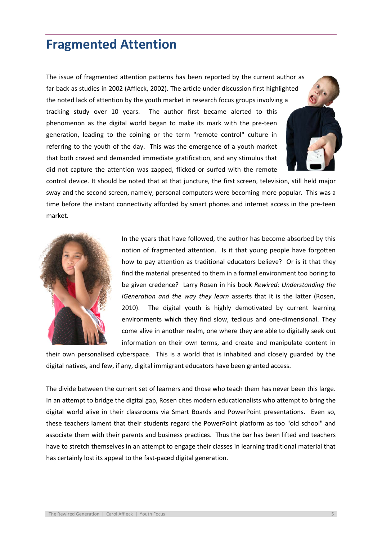## <span id="page-4-0"></span>**Fragmented Attention**

The issue of fragmented attention patterns has been reported by the current author as far back as studies in 2002 (Affleck, 2002). The article under discussion first highlighted the noted lack of attention by the youth market in research focus groups involving a tracking study over 10 years. The author first became alerted to this phenomenon as the digital world began to make its mark with the pre-teen generation, leading to the coining or the term "remote control" culture in referring to the youth of the day. This was the emergence of a youth market that both craved and demanded immediate gratification, and any stimulus that did not capture the attention was zapped, flicked or surfed with the remote



control device. It should be noted that at that juncture, the first screen, television, still held major sway and the second screen, namely, personal computers were becoming more popular. This was a time before the instant connectivity afforded by smart phones and internet access in the pre-teen market.



In the years that have followed, the author has become absorbed by this notion of fragmented attention. Is it that young people have forgotten how to pay attention as traditional educators believe? Or is it that they find the material presented to them in a formal environment too boring to be given credence? Larry Rosen in his book *Rewired: Understanding the iGeneration and the way they learn* asserts that it is the latter (Rosen, 2010). The digital youth is highly demotivated by current learning environments which they find slow, tedious and one-dimensional. They come alive in another realm, one where they are able to digitally seek out information on their own terms, and create and manipulate content in

their own personalised cyberspace. This is a world that is inhabited and closely guarded by the digital natives, and few, if any, digital immigrant educators have been granted access.

The divide between the current set of learners and those who teach them has never been this large. In an attempt to bridge the digital gap, Rosen cites modern educationalists who attempt to bring the digital world alive in their classrooms via Smart Boards and PowerPoint presentations. Even so, these teachers lament that their students regard the PowerPoint platform as too "old school" and associate them with their parents and business practices. Thus the bar has been lifted and teachers have to stretch themselves in an attempt to engage their classes in learning traditional material that has certainly lost its appeal to the fast-paced digital generation.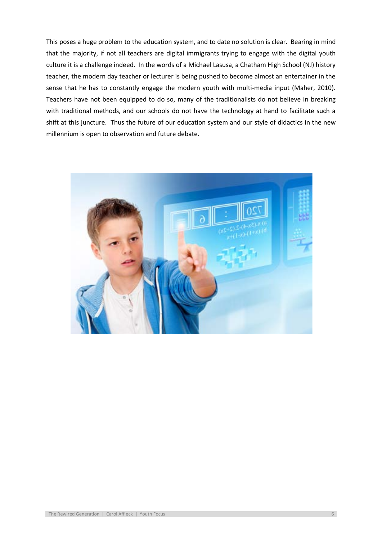This poses a huge problem to the education system, and to date no solution is clear. Bearing in mind that the majority, if not all teachers are digital immigrants trying to engage with the digital youth culture it is a challenge indeed. In the words of a Michael Lasusa, a Chatham High School (NJ) history teacher, the modern day teacher or lecturer is being pushed to become almost an entertainer in the sense that he has to constantly engage the modern youth with multi-media input (Maher, 2010). Teachers have not been equipped to do so, many of the traditionalists do not believe in breaking with traditional methods, and our schools do not have the technology at hand to facilitate such a shift at this juncture. Thus the future of our education system and our style of didactics in the new millennium is open to observation and future debate.

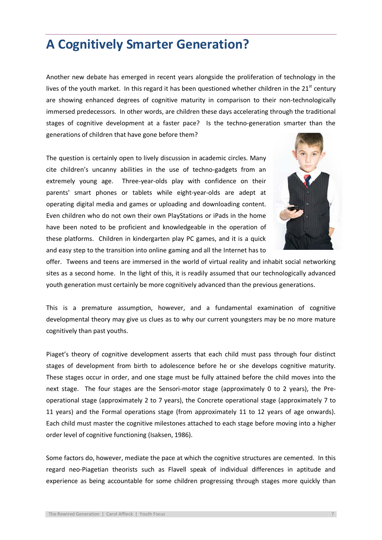## <span id="page-6-0"></span>**A Cognitively Smarter Generation?**

Another new debate has emerged in recent years alongside the proliferation of technology in the lives of the youth market. In this regard it has been questioned whether children in the  $21<sup>st</sup>$  century are showing enhanced degrees of cognitive maturity in comparison to their non-technologically immersed predecessors. In other words, are children these days accelerating through the traditional stages of cognitive development at a faster pace? Is the techno-generation smarter than the generations of children that have gone before them?

The question is certainly open to lively discussion in academic circles. Many cite children's uncanny abilities in the use of techno-gadgets from an extremely young age. Three-year-olds play with confidence on their parents' smart phones or tablets while eight-year-olds are adept at operating digital media and games or uploading and downloading content. Even children who do not own their own PlayStations or iPads in the home have been noted to be proficient and knowledgeable in the operation of these platforms. Children in kindergarten play PC games, and it is a quick and easy step to the transition into online gaming and all the Internet has to



offer. Tweens and teens are immersed in the world of virtual reality and inhabit social networking sites as a second home. In the light of this, it is readily assumed that our technologically advanced youth generation must certainly be more cognitively advanced than the previous generations.

This is a premature assumption, however, and a fundamental examination of cognitive developmental theory may give us clues as to why our current youngsters may be no more mature cognitively than past youths.

Piaget's theory of cognitive development asserts that each child must pass through four distinct stages of development from birth to adolescence before he or she develops cognitive maturity. These stages occur in order, and one stage must be fully attained before the child moves into the next stage. The four stages are the Sensori-motor stage (approximately 0 to 2 years), the Preoperational stage (approximately 2 to 7 years), the Concrete operational stage (approximately 7 to 11 years) and the Formal operations stage (from approximately 11 to 12 years of age onwards). Each child must master the cognitive milestones attached to each stage before moving into a higher order level of cognitive functioning (Isaksen, 1986).

Some factors do, however, mediate the pace at which the cognitive structures are cemented. In this regard neo-Piagetian theorists such as Flavell speak of individual differences in aptitude and experience as being accountable for some children progressing through stages more quickly than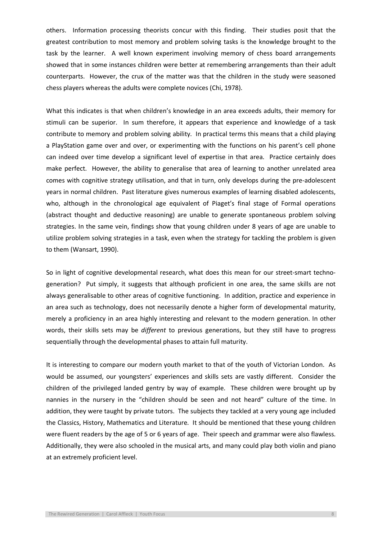others. Information processing theorists concur with this finding. Their studies posit that the greatest contribution to most memory and problem solving tasks is the knowledge brought to the task by the learner. A well known experiment involving memory of chess board arrangements showed that in some instances children were better at remembering arrangements than their adult counterparts. However, the crux of the matter was that the children in the study were seasoned chess players whereas the adults were complete novices (Chi, 1978).

What this indicates is that when children's knowledge in an area exceeds adults, their memory for stimuli can be superior. In sum therefore, it appears that experience and knowledge of a task contribute to memory and problem solving ability. In practical terms this means that a child playing a PlayStation game over and over, or experimenting with the functions on his parent's cell phone can indeed over time develop a significant level of expertise in that area. Practice certainly does make perfect. However, the ability to generalise that area of learning to another unrelated area comes with cognitive strategy utilisation, and that in turn, only develops during the pre-adolescent years in normal children. Past literature gives numerous examples of learning disabled adolescents, who, although in the chronological age equivalent of Piaget's final stage of Formal operations (abstract thought and deductive reasoning) are unable to generate spontaneous problem solving strategies. In the same vein, findings show that young children under 8 years of age are unable to utilize problem solving strategies in a task, even when the strategy for tackling the problem is given to them (Wansart, 1990).

So in light of cognitive developmental research, what does this mean for our street-smart technogeneration? Put simply, it suggests that although proficient in one area, the same skills are not always generalisable to other areas of cognitive functioning. In addition, practice and experience in an area such as technology, does not necessarily denote a higher form of developmental maturity, merely a proficiency in an area highly interesting and relevant to the modern generation. In other words, their skills sets may be *different* to previous generations, but they still have to progress sequentially through the developmental phases to attain full maturity.

It is interesting to compare our modern youth market to that of the youth of Victorian London. As would be assumed, our youngsters' experiences and skills sets are vastly different. Consider the children of the privileged landed gentry by way of example. These children were brought up by nannies in the nursery in the "children should be seen and not heard" culture of the time. In addition, they were taught by private tutors. The subjects they tackled at a very young age included the Classics, History, Mathematics and Literature. It should be mentioned that these young children were fluent readers by the age of 5 or 6 years of age. Their speech and grammar were also flawless. Additionally, they were also schooled in the musical arts, and many could play both violin and piano at an extremely proficient level.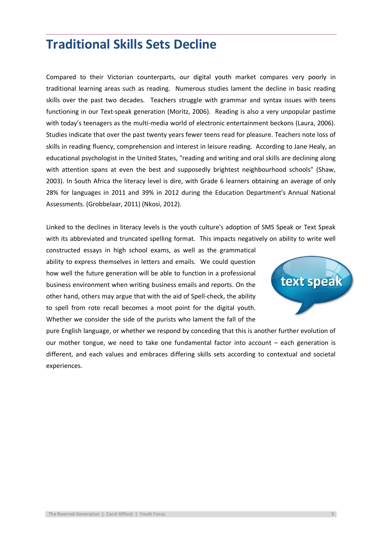# <span id="page-8-0"></span>**Traditional Skills Sets Decline**

Compared to their Victorian counterparts, our digital youth market compares very poorly in traditional learning areas such as reading. Numerous studies lament the decline in basic reading skills over the past two decades. Teachers struggle with grammar and syntax issues with teens functioning in our Text-speak generation (Moritz, 2006). Reading is also a very unpopular pastime with today's teenagers as the multi-media world of electronic entertainment beckons (Laura, 2006). Studies indicate that over the past twenty years fewer teens read for pleasure. Teachers note loss of skills in reading fluency, comprehension and interest in leisure reading. According to Jane Healy, an educational psychologist in the United States, "reading and writing and oral skills are declining along with attention spans at even the best and supposedly brightest neighbourhood schools" (Shaw, 2003). In South Africa the literacy level is dire, with Grade 6 learners obtaining an average of only 28% for languages in 2011 and 39% in 2012 during the Education Department's Annual National Assessments. (Grobbelaar, 2011) (Nkosi, 2012).

Linked to the declines in literacy levels is the youth culture's adoption of SMS Speak or Text Speak with its abbreviated and truncated spelling format. This impacts negatively on ability to write well

constructed essays in high school exams, as well as the grammatical ability to express themselves in letters and emails. We could question how well the future generation will be able to function in a professional business environment when writing business emails and reports. On the other hand, others may argue that with the aid of Spell-check, the ability to spell from rote recall becomes a moot point for the digital youth. Whether we consider the side of the purists who lament the fall of the



pure English language, or whether we respond by conceding that this is another further evolution of our mother tongue, we need to take one fundamental factor into account – each generation is different, and each values and embraces differing skills sets according to contextual and societal experiences.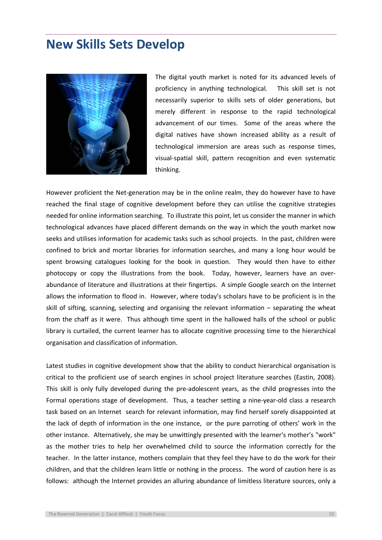#### <span id="page-9-0"></span>**New Skills Sets Develop**



The digital youth market is noted for its advanced levels of proficiency in anything technological. This skill set is not necessarily superior to skills sets of older generations, but merely different in response to the rapid technological advancement of our times. Some of the areas where the digital natives have shown increased ability as a result of technological immersion are areas such as response times, visual-spatial skill, pattern recognition and even systematic thinking.

However proficient the Net-generation may be in the online realm, they do however have to have reached the final stage of cognitive development before they can utilise the cognitive strategies needed for online information searching. To illustrate this point, let us consider the manner in which technological advances have placed different demands on the way in which the youth market now seeks and utilises information for academic tasks such as school projects. In the past, children were confined to brick and mortar libraries for information searches, and many a long hour would be spent browsing catalogues looking for the book in question. They would then have to either photocopy or copy the illustrations from the book. Today, however, learners have an overabundance of literature and illustrations at their fingertips. A simple Google search on the Internet allows the information to flood in. However, where today's scholars have to be proficient is in the skill of sifting, scanning, selecting and organising the relevant information – separating the wheat from the chaff as it were. Thus although time spent in the hallowed halls of the school or public library is curtailed, the current learner has to allocate cognitive processing time to the hierarchical organisation and classification of information.

Latest studies in cognitive development show that the ability to conduct hierarchical organisation is critical to the proficient use of search engines in school project literature searches (Eastin, 2008). This skill is only fully developed during the pre-adolescent years, as the child progresses into the Formal operations stage of development. Thus, a teacher setting a nine-year-old class a research task based on an Internet search for relevant information, may find herself sorely disappointed at the lack of depth of information in the one instance, or the pure parroting of others' work in the other instance. Alternatively, she may be unwittingly presented with the learner's mother's "work" as the mother tries to help her overwhelmed child to source the information correctly for the teacher. In the latter instance, mothers complain that they feel they have to do the work for their children, and that the children learn little or nothing in the process. The word of caution here is as follows: although the Internet provides an alluring abundance of limitless literature sources, only a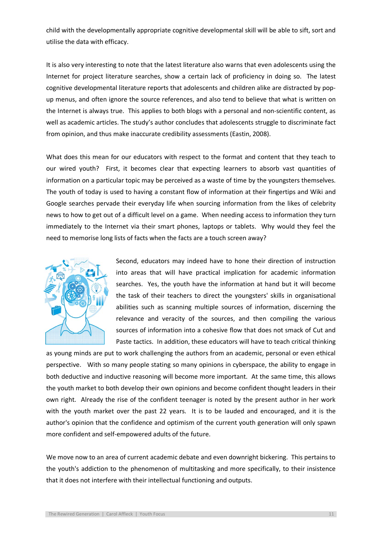child with the developmentally appropriate cognitive developmental skill will be able to sift, sort and utilise the data with efficacy.

It is also very interesting to note that the latest literature also warns that even adolescents using the Internet for project literature searches, show a certain lack of proficiency in doing so. The latest cognitive developmental literature reports that adolescents and children alike are distracted by popup menus, and often ignore the source references, and also tend to believe that what is written on the Internet is always true. This applies to both blogs with a personal and non-scientific content, as well as academic articles. The study's author concludes that adolescents struggle to discriminate fact from opinion, and thus make inaccurate credibility assessments (Eastin, 2008).

What does this mean for our educators with respect to the format and content that they teach to our wired youth? First, it becomes clear that expecting learners to absorb vast quantities of information on a particular topic may be perceived as a waste of time by the youngsters themselves. The youth of today is used to having a constant flow of information at their fingertips and Wiki and Google searches pervade their everyday life when sourcing information from the likes of celebrity news to how to get out of a difficult level on a game. When needing access to information they turn immediately to the Internet via their smart phones, laptops or tablets. Why would they feel the need to memorise long lists of facts when the facts are a touch screen away?



Second, educators may indeed have to hone their direction of instruction into areas that will have practical implication for academic information searches. Yes, the youth have the information at hand but it will become the task of their teachers to direct the youngsters' skills in organisational abilities such as scanning multiple sources of information, discerning the relevance and veracity of the sources, and then compiling the various sources of information into a cohesive flow that does not smack of Cut and Paste tactics. In addition, these educators will have to teach critical thinking

as young minds are put to work challenging the authors from an academic, personal or even ethical perspective. With so many people stating so many opinions in cyberspace, the ability to engage in both deductive and inductive reasoning will become more important. At the same time, this allows the youth market to both develop their own opinions and become confident thought leaders in their own right. Already the rise of the confident teenager is noted by the present author in her work with the youth market over the past 22 years. It is to be lauded and encouraged, and it is the author's opinion that the confidence and optimism of the current youth generation will only spawn more confident and self-empowered adults of the future.

We move now to an area of current academic debate and even downright bickering. This pertains to the youth's addiction to the phenomenon of multitasking and more specifically, to their insistence that it does not interfere with their intellectual functioning and outputs.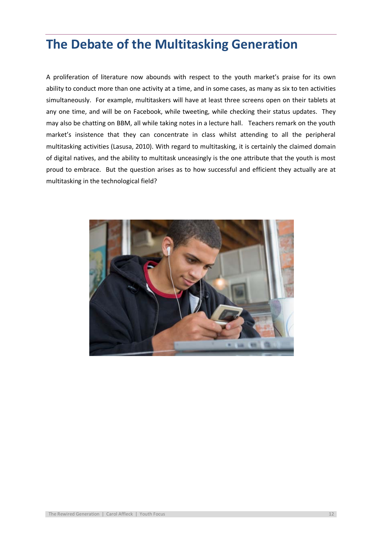# <span id="page-11-0"></span>**The Debate of the Multitasking Generation**

A proliferation of literature now abounds with respect to the youth market's praise for its own ability to conduct more than one activity at a time, and in some cases, as many as six to ten activities simultaneously. For example, multitaskers will have at least three screens open on their tablets at any one time, and will be on Facebook, while tweeting, while checking their status updates. They may also be chatting on BBM, all while taking notes in a lecture hall. Teachers remark on the youth market's insistence that they can concentrate in class whilst attending to all the peripheral multitasking activities (Lasusa, 2010). With regard to multitasking, it is certainly the claimed domain of digital natives, and the ability to multitask unceasingly is the one attribute that the youth is most proud to embrace. But the question arises as to how successful and efficient they actually are at multitasking in the technological field?

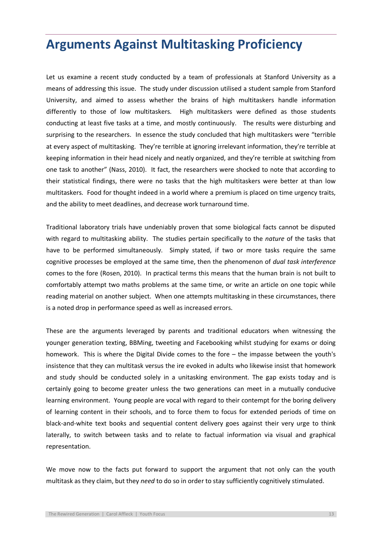## <span id="page-12-0"></span>**Arguments Against Multitasking Proficiency**

Let us examine a recent study conducted by a team of professionals at Stanford University as a means of addressing this issue. The study under discussion utilised a student sample from Stanford University, and aimed to assess whether the brains of high multitaskers handle information differently to those of low multitaskers. High multitaskers were defined as those students conducting at least five tasks at a time, and mostly continuously. The results were disturbing and surprising to the researchers. In essence the study concluded that high multitaskers were "terrible at every aspect of multitasking. They're terrible at ignoring irrelevant information, they're terrible at keeping information in their head nicely and neatly organized, and they're terrible at switching from one task to another" (Nass, 2010). It fact, the researchers were shocked to note that according to their statistical findings, there were no tasks that the high multitaskers were better at than low multitaskers. Food for thought indeed in a world where a premium is placed on time urgency traits, and the ability to meet deadlines, and decrease work turnaround time.

Traditional laboratory trials have undeniably proven that some biological facts cannot be disputed with regard to multitasking ability. The studies pertain specifically to the *nature* of the tasks that have to be performed simultaneously. Simply stated, if two or more tasks require the same cognitive processes be employed at the same time, then the phenomenon of *dual task interference* comes to the fore (Rosen, 2010). In practical terms this means that the human brain is not built to comfortably attempt two maths problems at the same time, or write an article on one topic while reading material on another subject. When one attempts multitasking in these circumstances, there is a noted drop in performance speed as well as increased errors.

These are the arguments leveraged by parents and traditional educators when witnessing the younger generation texting, BBMing, tweeting and Facebooking whilst studying for exams or doing homework. This is where the Digital Divide comes to the fore – the impasse between the youth's insistence that they can multitask versus the ire evoked in adults who likewise insist that homework and study should be conducted solely in a unitasking environment. The gap exists today and is certainly going to become greater unless the two generations can meet in a mutually conducive learning environment. Young people are vocal with regard to their contempt for the boring delivery of learning content in their schools, and to force them to focus for extended periods of time on black-and-white text books and sequential content delivery goes against their very urge to think laterally, to switch between tasks and to relate to factual information via visual and graphical representation.

We move now to the facts put forward to support the argument that not only can the youth multitask as they claim, but they *need* to do so in order to stay sufficiently cognitively stimulated.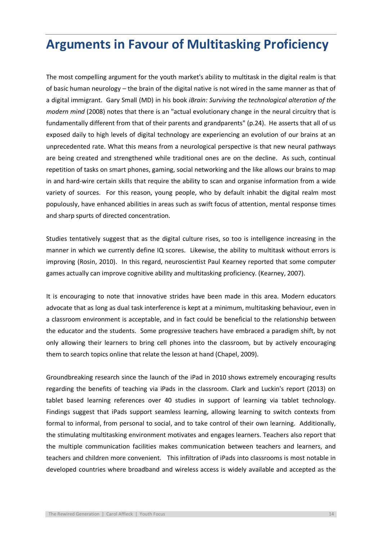# <span id="page-13-0"></span>**Arguments in Favour of Multitasking Proficiency**

The most compelling argument for the youth market's ability to multitask in the digital realm is that of basic human neurology – the brain of the digital native is not wired in the same manner as that of a digital immigrant. Gary Small (MD) in his book *iBrain: Surviving the technological alteration of the modern mind* (2008) notes that there is an "actual evolutionary change in the neural circuitry that is fundamentally different from that of their parents and grandparents" (p.24). He asserts that all of us exposed daily to high levels of digital technology are experiencing an evolution of our brains at an unprecedented rate. What this means from a neurological perspective is that new neural pathways are being created and strengthened while traditional ones are on the decline. As such, continual repetition of tasks on smart phones, gaming, social networking and the like allows our brains to map in and hard-wire certain skills that require the ability to scan and organise information from a wide variety of sources. For this reason, young people, who by default inhabit the digital realm most populously, have enhanced abilities in areas such as swift focus of attention, mental response times and sharp spurts of directed concentration.

Studies tentatively suggest that as the digital culture rises, so too is intelligence increasing in the manner in which we currently define IQ scores. Likewise, the ability to multitask without errors is improving (Rosin, 2010). In this regard, neuroscientist Paul Kearney reported that some computer games actually can improve cognitive ability and multitasking proficiency. (Kearney, 2007).

It is encouraging to note that innovative strides have been made in this area. Modern educators advocate that as long as dual task interference is kept at a minimum, multitasking behaviour, even in a classroom environment is acceptable, and in fact could be beneficial to the relationship between the educator and the students. Some progressive teachers have embraced a paradigm shift, by not only allowing their learners to bring cell phones into the classroom, but by actively encouraging them to search topics online that relate the lesson at hand (Chapel, 2009).

Groundbreaking research since the launch of the iPad in 2010 shows extremely encouraging results regarding the benefits of teaching via iPads in the classroom. Clark and Luckin's report (2013) on tablet based learning references over 40 studies in support of learning via tablet technology. Findings suggest that iPads support seamless learning, allowing learning to switch contexts from formal to informal, from personal to social, and to take control of their own learning. Additionally, the stimulating multitasking environment motivates and engages learners. Teachers also report that the multiple communication facilities makes communication between teachers and learners, and teachers and children more convenient. This infiltration of iPads into classrooms is most notable in developed countries where broadband and wireless access is widely available and accepted as the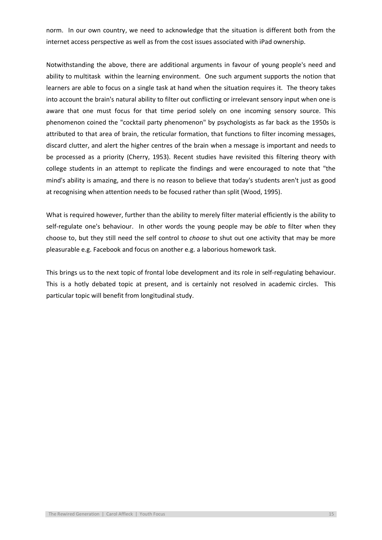norm. In our own country, we need to acknowledge that the situation is different both from the internet access perspective as well as from the cost issues associated with iPad ownership.

Notwithstanding the above, there are additional arguments in favour of young people's need and ability to multitask within the learning environment. One such argument supports the notion that learners are able to focus on a single task at hand when the situation requires it. The theory takes into account the brain's natural ability to filter out conflicting or irrelevant sensory input when one is aware that one must focus for that time period solely on one incoming sensory source. This phenomenon coined the "cocktail party phenomenon" by psychologists as far back as the 1950s is attributed to that area of brain, the reticular formation, that functions to filter incoming messages, discard clutter, and alert the higher centres of the brain when a message is important and needs to be processed as a priority (Cherry, 1953). Recent studies have revisited this filtering theory with college students in an attempt to replicate the findings and were encouraged to note that "the mind's ability is amazing, and there is no reason to believe that today's students aren't just as good at recognising when attention needs to be focused rather than split (Wood, 1995).

What is required however, further than the ability to merely filter material efficiently is the ability to self-regulate one's behaviour. In other words the young people may be *able* to filter when they choose to, but they still need the self control to *choose* to shut out one activity that may be more pleasurable e.g. Facebook and focus on another e.g. a laborious homework task.

This brings us to the next topic of frontal lobe development and its role in self-regulating behaviour. This is a hotly debated topic at present, and is certainly not resolved in academic circles. This particular topic will benefit from longitudinal study.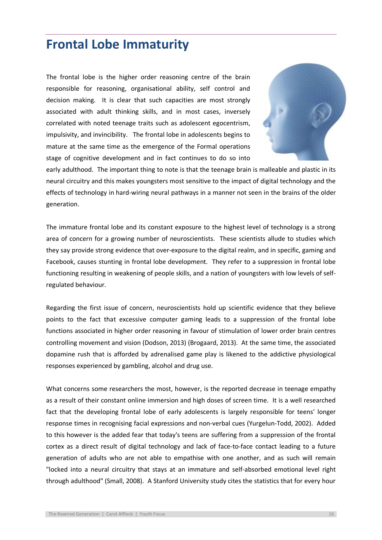## <span id="page-15-0"></span>**Frontal Lobe Immaturity**

The frontal lobe is the higher order reasoning centre of the brain responsible for reasoning, organisational ability, self control and decision making. It is clear that such capacities are most strongly associated with adult thinking skills, and in most cases, inversely correlated with noted teenage traits such as adolescent egocentrism, impulsivity, and invincibility. The frontal lobe in adolescents begins to mature at the same time as the emergence of the Formal operations stage of cognitive development and in fact continues to do so into



early adulthood. The important thing to note is that the teenage brain is malleable and plastic in its neural circuitry and this makes youngsters most sensitive to the impact of digital technology and the effects of technology in hard-wiring neural pathways in a manner not seen in the brains of the older generation.

The immature frontal lobe and its constant exposure to the highest level of technology is a strong area of concern for a growing number of neuroscientists. These scientists allude to studies which they say provide strong evidence that over-exposure to the digital realm, and in specific, gaming and Facebook, causes stunting in frontal lobe development. They refer to a suppression in frontal lobe functioning resulting in weakening of people skills, and a nation of youngsters with low levels of selfregulated behaviour.

Regarding the first issue of concern, neuroscientists hold up scientific evidence that they believe points to the fact that excessive computer gaming leads to a suppression of the frontal lobe functions associated in higher order reasoning in favour of stimulation of lower order brain centres controlling movement and vision (Dodson, 2013) (Brogaard, 2013). At the same time, the associated dopamine rush that is afforded by adrenalised game play is likened to the addictive physiological responses experienced by gambling, alcohol and drug use.

What concerns some researchers the most, however, is the reported decrease in teenage empathy as a result of their constant online immersion and high doses of screen time. It is a well researched fact that the developing frontal lobe of early adolescents is largely responsible for teens' longer response times in recognising facial expressions and non-verbal cues (Yurgelun-Todd, 2002). Added to this however is the added fear that today's teens are suffering from a suppression of the frontal cortex as a direct result of digital technology and lack of face-to-face contact leading to a future generation of adults who are not able to empathise with one another, and as such will remain "locked into a neural circuitry that stays at an immature and self-absorbed emotional level right through adulthood" (Small, 2008). A Stanford University study cites the statistics that for every hour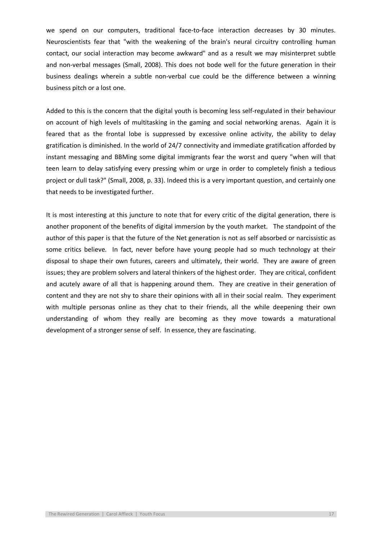we spend on our computers, traditional face-to-face interaction decreases by 30 minutes. Neuroscientists fear that "with the weakening of the brain's neural circuitry controlling human contact, our social interaction may become awkward" and as a result we may misinterpret subtle and non-verbal messages (Small, 2008). This does not bode well for the future generation in their business dealings wherein a subtle non-verbal cue could be the difference between a winning business pitch or a lost one.

Added to this is the concern that the digital youth is becoming less self-regulated in their behaviour on account of high levels of multitasking in the gaming and social networking arenas. Again it is feared that as the frontal lobe is suppressed by excessive online activity, the ability to delay gratification is diminished. In the world of 24/7 connectivity and immediate gratification afforded by instant messaging and BBMing some digital immigrants fear the worst and query "when will that teen learn to delay satisfying every pressing whim or urge in order to completely finish a tedious project or dull task?" (Small, 2008, p. 33). Indeed this is a very important question, and certainly one that needs to be investigated further.

It is most interesting at this juncture to note that for every critic of the digital generation, there is another proponent of the benefits of digital immersion by the youth market. The standpoint of the author of this paper is that the future of the Net generation is not as self absorbed or narcissistic as some critics believe. In fact, never before have young people had so much technology at their disposal to shape their own futures, careers and ultimately, their world. They are aware of green issues; they are problem solvers and lateral thinkers of the highest order. They are critical, confident and acutely aware of all that is happening around them. They are creative in their generation of content and they are not shy to share their opinions with all in their social realm. They experiment with multiple personas online as they chat to their friends, all the while deepening their own understanding of whom they really are becoming as they move towards a maturational development of a stronger sense of self. In essence, they are fascinating.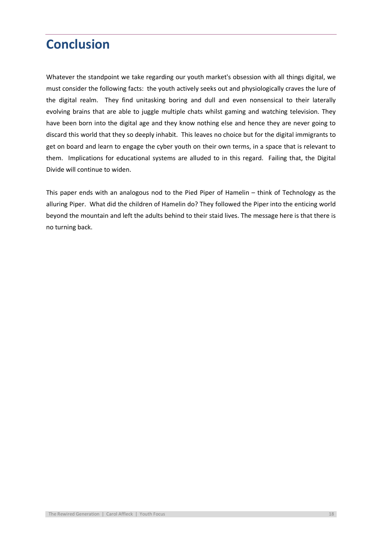# <span id="page-17-0"></span>**Conclusion**

Whatever the standpoint we take regarding our youth market's obsession with all things digital, we must consider the following facts: the youth actively seeks out and physiologically craves the lure of the digital realm. They find unitasking boring and dull and even nonsensical to their laterally evolving brains that are able to juggle multiple chats whilst gaming and watching television. They have been born into the digital age and they know nothing else and hence they are never going to discard this world that they so deeply inhabit. This leaves no choice but for the digital immigrants to get on board and learn to engage the cyber youth on their own terms, in a space that is relevant to them. Implications for educational systems are alluded to in this regard. Failing that, the Digital Divide will continue to widen.

This paper ends with an analogous nod to the Pied Piper of Hamelin – think of Technology as the alluring Piper. What did the children of Hamelin do? They followed the Piper into the enticing world beyond the mountain and left the adults behind to their staid lives. The message here is that there is no turning back.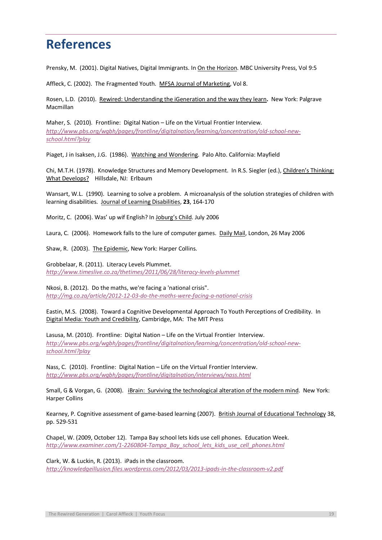# <span id="page-18-0"></span>**References**

Prensky, M. (2001). Digital Natives, Digital Immigrants. In On the Horizon. MBC University Press, Vol 9:5

Affleck, C. (2002). The Fragmented Youth. MFSA Journal of Marketing, Vol 8.

Rosen, L.D. (2010). Rewired: Understanding the iGeneration and the way they learn**.** New York: Palgrave Macmillan

Maher, S. (2010). Frontline: Digital Nation – Life on the Virtual Frontier Interview. *http://www.pbs.org/wgbh/pages/frontline/digitalnation/learning/concentration/old-school-newschool.html?play* 

Piaget, J in Isaksen, J.G. (1986). Watching and Wondering. Palo Alto. California: Mayfield

Chi, M.T.H. (1978). Knowledge Structures and Memory Development. In R.S. Siegler (ed.), Children's Thinking: What Develops? Hillsdale, NJ: Erlbaum

Wansart, W.L. (1990). Learning to solve a problem. A microanalysis of the solution strategies of children with learning disabilities. Journal of Learning Disabilities, **23**, 164-170

Moritz, C. (2006). Was' up wif English? In Joburg's Child. July 2006

Laura, C. (2006). Homework falls to the lure of computer games. Daily Mail, London, 26 May 2006

Shaw, R. (2003). The Epidemic, New York: Harper Collins.

Grobbelaar, R. (2011). Literacy Levels Plummet. *http://www.timeslive.co.za/thetimes/2011/06/28/literacy-levels-plummet*

Nkosi, B. (2012). Do the maths, we're facing a 'national crisis". *http://mg.co.za/article/2012-12-03-do-the-maths-were-facing-a-national-crisis*

Eastin, M.S. (2008). Toward a Cognitive Developmental Approach To Youth Perceptions of Credibility. In Digital Media: Youth and Credibility, Cambridge, MA: The MIT Press

Lasusa, M. (2010). Frontline: Digital Nation – Life on the Virtual Frontier Interview. *http://www.pbs.org/wgbh/pages/frontline/digitalnation/learning/concentration/old-school-newschool.html?play* 

Nass, C. (2010). Frontline: Digital Nation – Life on the Virtual Frontier Interview. *http://www.pbs.org/wgbh/pages/frontline/digitalnation/interviews/nass.html*

Small, G & Vorgan, G. (2008). iBrain: Surviving the technological alteration of the modern mind. New York: Harper Collins

Kearney, P. Cognitive assessment of game-based learning (2007). British Journal of Educational Technology 38, pp. 529-531

Chapel, W. (2009, October 12). Tampa Bay school lets kids use cell phones. Education Week. *[http://www.examiner.com/1-2260804-T](http://www.examiner.com/1-2260804-)ampa\_Bay\_school\_lets\_kids\_use\_cell\_phones.html*

Clark, W. & Luckin, R. (2013). iPads in the classroom. *http://knowledgeillusion.files.wordpress.com/2012/03/2013-ipads-in-the-classroom-v2.pdf*